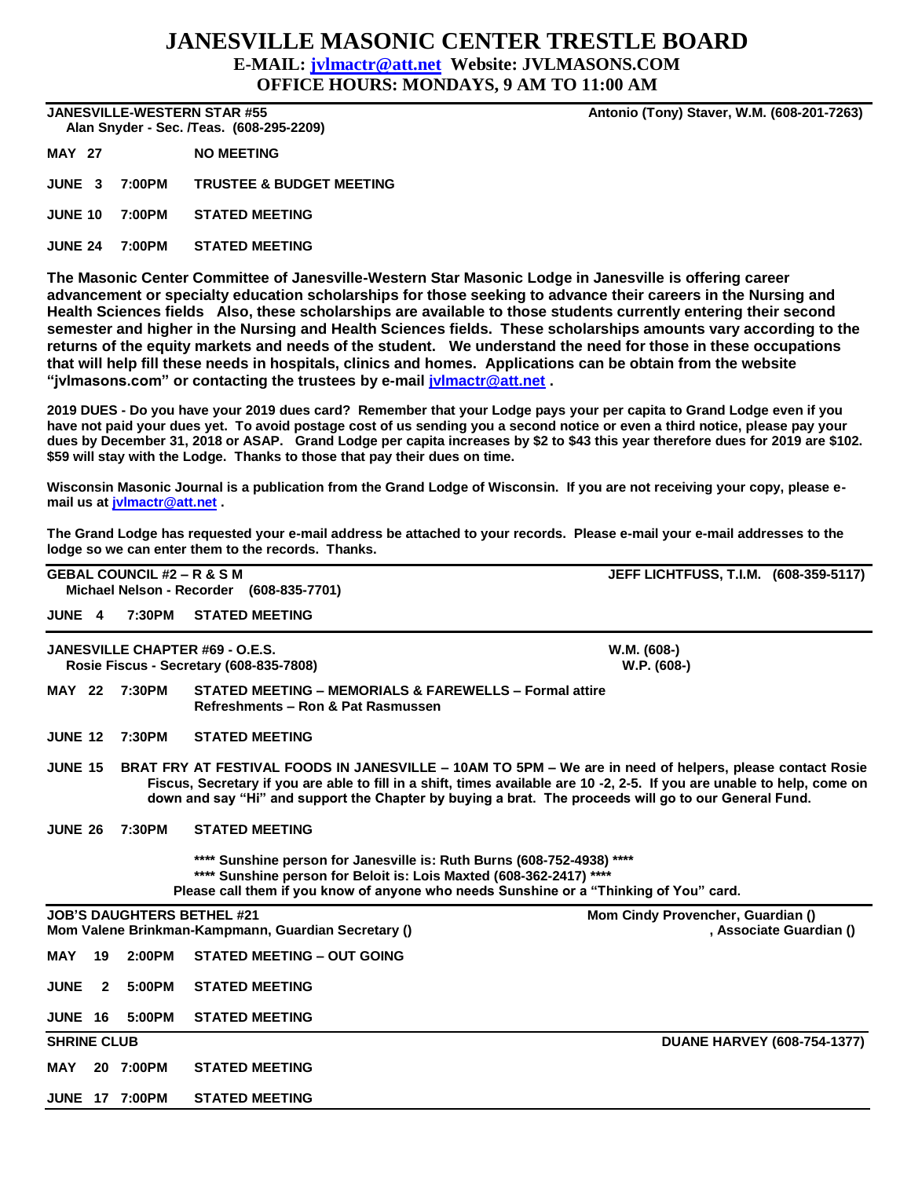## **JANESVILLE MASONIC CENTER TRESTLE BOARD E-MAIL: [jvlmactr@att.net](mailto:jvlmactr@att.net) Website: JVLMASONS.COM**

**OFFICE HOURS: MONDAYS, 9 AM TO 11:00 AM**

 **Alan Snyder - Sec. /Teas. (608-295-2209)** 

**MAY 27 NO MEETING**

**JUNE 3 7:00PM TRUSTEE & BUDGET MEETING**

**JUNE 10 7:00PM STATED MEETING**

**JUNE 24 7:00PM STATED MEETING**

**The Masonic Center Committee of Janesville-Western Star Masonic Lodge in Janesville is offering career advancement or specialty education scholarships for those seeking to advance their careers in the Nursing and Health Sciences fields Also, these scholarships are available to those students currently entering their second semester and higher in the Nursing and Health Sciences fields. These scholarships amounts vary according to the returns of the equity markets and needs of the student. We understand the need for those in these occupations that will help fill these needs in hospitals, clinics and homes. Applications can be obtain from the website "jvlmasons.com" or contacting the trustees by e-mail [jvlmactr@att.net](mailto:jvlmactr@att.net) .**

**2019 DUES - Do you have your 2019 dues card? Remember that your Lodge pays your per capita to Grand Lodge even if you have not paid your dues yet. To avoid postage cost of us sending you a second notice or even a third notice, please pay your dues by December 31, 2018 or ASAP. Grand Lodge per capita increases by \$2 to \$43 this year therefore dues for 2019 are \$102. \$59 will stay with the Lodge. Thanks to those that pay their dues on time.**

**Wisconsin Masonic Journal is a publication from the Grand Lodge of Wisconsin. If you are not receiving your copy, please email us at [jvlmactr@att.net](mailto:jvlmactr@att.net) .**

**The Grand Lodge has requested your e-mail address be attached to your records. Please e-mail your e-mail addresses to the lodge so we can enter them to the records. Thanks.**

|                    |                                                                                                                                                                                                                                                                                                                                                                 | <b>GEBAL COUNCIL #2 – R &amp; S M</b> | Michael Nelson - Recorder (608-835-7701)                                                                | <b>JEFF LICHTFUSS, T.I.M. (608-359-5117)</b>                 |  |  |  |  |  |  |
|--------------------|-----------------------------------------------------------------------------------------------------------------------------------------------------------------------------------------------------------------------------------------------------------------------------------------------------------------------------------------------------------------|---------------------------------------|---------------------------------------------------------------------------------------------------------|--------------------------------------------------------------|--|--|--|--|--|--|
| <b>JUNE 4</b>      |                                                                                                                                                                                                                                                                                                                                                                 | 7:30PM                                | <b>STATED MEETING</b>                                                                                   |                                                              |  |  |  |  |  |  |
|                    |                                                                                                                                                                                                                                                                                                                                                                 |                                       | <b>JANESVILLE CHAPTER #69 - O.E.S.</b><br>Rosie Fiscus - Secretary (608-835-7808)                       | W.M. (608-)<br>W.P. (608-)                                   |  |  |  |  |  |  |
| <b>MAY 22</b>      |                                                                                                                                                                                                                                                                                                                                                                 | 7:30PM                                | <b>STATED MEETING - MEMORIALS &amp; FAREWELLS - Formal attire</b><br>Refreshments - Ron & Pat Rasmussen |                                                              |  |  |  |  |  |  |
| <b>JUNE 12</b>     |                                                                                                                                                                                                                                                                                                                                                                 | 7:30PM                                | <b>STATED MEETING</b>                                                                                   |                                                              |  |  |  |  |  |  |
|                    | <b>JUNE 15</b><br>BRAT FRY AT FESTIVAL FOODS IN JANESVILLE – 10AM TO 5PM – We are in need of helpers, please contact Rosie<br>Fiscus, Secretary if you are able to fill in a shift, times available are 10 -2, 2-5. If you are unable to help, come on<br>down and say "Hi" and support the Chapter by buying a brat. The proceeds will go to our General Fund. |                                       |                                                                                                         |                                                              |  |  |  |  |  |  |
|                    | 7:30PM<br><b>STATED MEETING</b><br><b>JUNE 26</b><br>**** Sunshine person for Janesville is: Ruth Burns (608-752-4938) ****<br>**** Sunshine person for Beloit is: Lois Maxted (608-362-2417) ****<br>Please call them if you know of anyone who needs Sunshine or a "Thinking of You" card.                                                                    |                                       |                                                                                                         |                                                              |  |  |  |  |  |  |
|                    |                                                                                                                                                                                                                                                                                                                                                                 | <b>JOB'S DAUGHTERS BETHEL #21</b>     | Mom Valene Brinkman-Kampmann, Guardian Secretary ()                                                     | Mom Cindy Provencher, Guardian ()<br>, Associate Guardian () |  |  |  |  |  |  |
| MAY                | 19                                                                                                                                                                                                                                                                                                                                                              | 2:00PM                                | <b>STATED MEETING - OUT GOING</b>                                                                       |                                                              |  |  |  |  |  |  |
| <b>JUNE</b>        | $\mathbf{2}$                                                                                                                                                                                                                                                                                                                                                    | 5:00PM                                | <b>STATED MEETING</b>                                                                                   |                                                              |  |  |  |  |  |  |
| <b>JUNE 16</b>     |                                                                                                                                                                                                                                                                                                                                                                 | 5:00PM                                | <b>STATED MEETING</b>                                                                                   |                                                              |  |  |  |  |  |  |
| <b>SHRINE CLUB</b> |                                                                                                                                                                                                                                                                                                                                                                 |                                       |                                                                                                         | <b>DUANE HARVEY (608-754-1377)</b>                           |  |  |  |  |  |  |
| MAY                |                                                                                                                                                                                                                                                                                                                                                                 | 20 7:00PM                             | <b>STATED MEETING</b>                                                                                   |                                                              |  |  |  |  |  |  |
|                    |                                                                                                                                                                                                                                                                                                                                                                 | <b>JUNE 17 7:00PM</b>                 | <b>STATED MEETING</b>                                                                                   |                                                              |  |  |  |  |  |  |

**JANESVILLE-WESTERN STAR #55 Antonio (Tony) Staver, W.M. (608-201-7263)**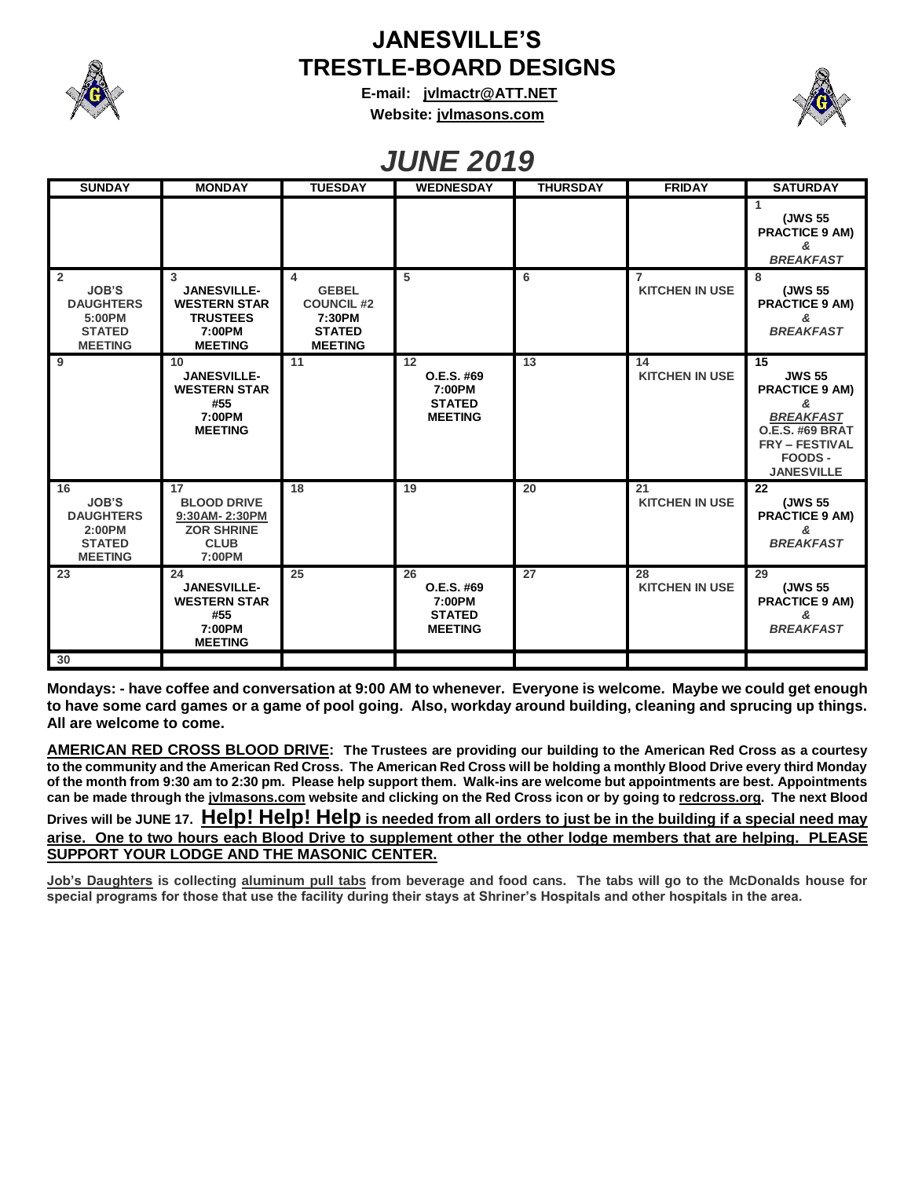

## **JANESVILLE'S TRESTLE-BOARD DESIGNS**

**E-mail: [jvlmactr@ATT.NET](mailto:jvlmactr@ATT.NET) Website: jvlmasons.com**



## *JUNE 2019*

| <b>SUNDAY</b>                                                                                   | <b>MONDAY</b>                                                                                 | <b>TUESDAY</b>                                                                                   | <b>WEDNESDAY</b>                                              | <b>THURSDAY</b> | <b>FRIDAY</b>                           | <b>SATURDAY</b>                                                                                                                                          |
|-------------------------------------------------------------------------------------------------|-----------------------------------------------------------------------------------------------|--------------------------------------------------------------------------------------------------|---------------------------------------------------------------|-----------------|-----------------------------------------|----------------------------------------------------------------------------------------------------------------------------------------------------------|
|                                                                                                 |                                                                                               |                                                                                                  |                                                               |                 |                                         | 1<br>(JWS 55<br><b>PRACTICE 9 AM)</b><br>&<br><b>BREAKFAST</b>                                                                                           |
| $\overline{2}$<br><b>JOB'S</b><br><b>DAUGHTERS</b><br>5:00PM<br><b>STATED</b><br><b>MEETING</b> | 3<br><b>JANESVILLE-</b><br><b>WESTERN STAR</b><br><b>TRUSTEES</b><br>7:00PM<br><b>MEETING</b> | $\overline{4}$<br><b>GEBEL</b><br><b>COUNCIL #2</b><br>7:30PM<br><b>STATED</b><br><b>MEETING</b> | 5                                                             | 6               | $\overline{7}$<br><b>KITCHEN IN USE</b> | 8<br>(JWS 55<br><b>PRACTICE 9 AM)</b><br>&<br><b>BREAKFAST</b>                                                                                           |
| 9                                                                                               | 10<br><b>JANESVILLE-</b><br><b>WESTERN STAR</b><br>#55<br>7:00PM<br><b>MEETING</b>            | 11                                                                                               | 12<br>O.E.S. #69<br>7:00PM<br><b>STATED</b><br><b>MEETING</b> | 13              | 14<br><b>KITCHEN IN USE</b>             | 15<br><b>JWS 55</b><br><b>PRACTICE 9 AM)</b><br>&<br><b>BREAKFAST</b><br><b>O.E.S. #69 BRAT</b><br><b>FRY - FESTIVAL</b><br>FOODS -<br><b>JANESVILLE</b> |
| 16<br><b>JOB'S</b><br><b>DAUGHTERS</b><br>2:00PM<br><b>STATED</b><br><b>MEETING</b>             | 17<br><b>BLOOD DRIVE</b><br>9:30AM-2:30PM<br><b>ZOR SHRINE</b><br><b>CLUB</b><br>7:00PM       | 18                                                                                               | 19                                                            | 20              | 21<br><b>KITCHEN IN USE</b>             | 22<br>(JWS 55<br><b>PRACTICE 9 AM)</b><br>&<br><b>BREAKFAST</b>                                                                                          |
| 23                                                                                              | 24<br><b>JANESVILLE-</b><br><b>WESTERN STAR</b><br>#55<br>7:00PM<br><b>MEETING</b>            | 25                                                                                               | 26<br>O.E.S. #69<br>7:00PM<br><b>STATED</b><br><b>MEETING</b> | 27              | 28<br><b>KITCHEN IN USE</b>             | 29<br>(JWS 55<br><b>PRACTICE 9 AM)</b><br>&<br><b>BREAKFAST</b>                                                                                          |
| 30                                                                                              |                                                                                               |                                                                                                  |                                                               |                 |                                         |                                                                                                                                                          |

**Mondays: - have coffee and conversation at 9:00 AM to whenever. Everyone is welcome. Maybe we could get enough to have some card games or a game of pool going. Also, workday around building, cleaning and sprucing up things. All are welcome to come.**

**AMERICAN RED CROSS BLOOD DRIVE: The Trustees are providing our building to the American Red Cross as a courtesy to the community and the American Red Cross. The American Red Cross will be holding a monthly Blood Drive every third Monday of the month from 9:30 am to 2:30 pm. Please help support them. Walk-ins are welcome but appointments are best. Appointments can be made through the jvlmasons.com website and clicking on the Red Cross icon or by going to redcross.org. The next Blood Drives will be JUNE 17. Help! Help! Help is needed from all orders to just be in the building if a special need may arise. One to two hours each Blood Drive to supplement other the other lodge members that are helping. PLEASE SUPPORT YOUR LODGE AND THE MASONIC CENTER.**

**Job's Daughters is collecting aluminum pull tabs from beverage and food cans. The tabs will go to the McDonalds house for special programs for those that use the facility during their stays at Shriner's Hospitals and other hospitals in the area.**